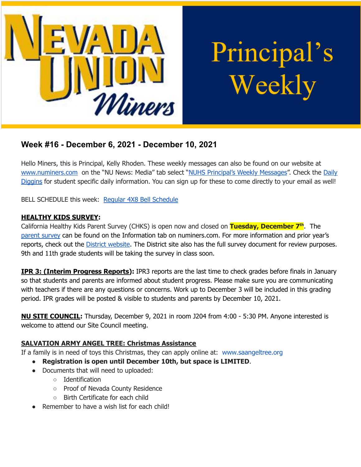

# Principal's Weekly

# **Week #16 - December 6, 2021 - December 10, 2021**

Hello Miners, this is Principal, Kelly Rhoden. These weekly messages can also be found on our website at [www.numiners.com](http://www.numiners.com) on the "NU News: Media" tab select "NUHS [Principal's](https://nevadaunion.njuhsd.com/NU-NewsMedia/NUHS-Principals-Weekly-Messages/index.html) Weekly Messages". Check the [Daily](https://nevadaunion.njuhsd.com/NU-NewsMedia/Daily-Diggins-Bulletin/index.html) [Diggins](https://nevadaunion.njuhsd.com/NU-NewsMedia/Daily-Diggins-Bulletin/index.html) for student specific daily information. You can sign up for these to come directly to your email as well!

BELL SCHEDULE this week: Regular 4X8 Bell [Schedule](https://nevadaunion.njuhsd.com/documents/Bell%20Schedules/Bell-Schedule-2021-2022-NUHS-4x8.pdf)

## **HEALTHY KIDS SURVEY:**

California Healthy Kids Parent Survey (CHKS) is open now and closed on **Tuesday, December 7 th** . The [parent](https://wested.ugam-apps.com/wed/ts/cQ4y) survey can be found on the Information tab on numiners.com. For more information and prior year's reports, check out the **District [website](https://www.njuhsd.com/Parents/Health--Safety/index.html)**. The District site also has the full survey document for review purposes. 9th and 11th grade students will be taking the survey in class soon.

**IPR 3: (Interim Progress Reports):** IPR3 reports are the last time to check grades before finals in January so that students and parents are informed about student progress. Please make sure you are communicating with teachers if there are any questions or concerns. Work up to December 3 will be included in this grading period. IPR grades will be posted & visible to students and parents by December 10, 2021.

**NU SITE COUNCIL:** Thursday, December 9, 2021 in room J204 from 4:00 - 5:30 PM. Anyone interested is welcome to attend our Site Council meeting.

# **SALVATION ARMY ANGEL TREE: Christmas Assistance**

If a family is in need of toys this Christmas, they can apply online at: [www.saangeltree.org](http://www.saangeltree.org/)

- **Registration is open until December 10th, but space is LIMITED**.
- Documents that will need to uploaded:
	- Identification
	- Proof of Nevada County Residence
	- Birth Certificate for each child
- Remember to have a wish list for each child!